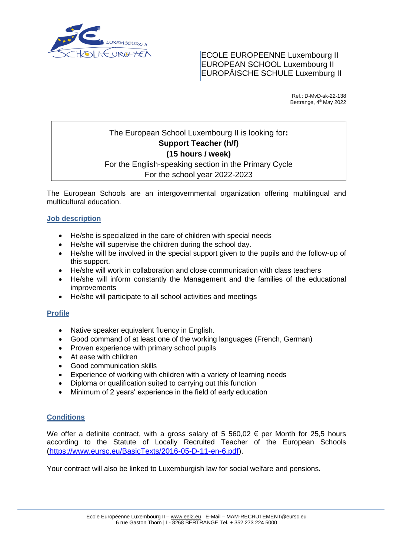

ECOLE EUROPEENNE Luxembourg II EUROPEAN SCHOOL Luxembourg II EUROPÄISCHE SCHULE Luxemburg II

> Ref.: D-MvD-sk-22-138 Bertrange, 4<sup>th</sup> May 2022

# The European School Luxembourg II is looking for**: Support Teacher (h/f) (15 hours / week)** For the English-speaking section in the Primary Cycle

## For the school year 2022-2023

The European Schools are an intergovernmental organization offering multilingual and multicultural education.

## **Job description**

- He/she is specialized in the care of children with special needs
- He/she will supervise the children during the school day.
- He/she will be involved in the special support given to the pupils and the follow-up of this support.
- He/she will work in collaboration and close communication with class teachers
- He/she will inform constantly the Management and the families of the educational improvements
- He/she will participate to all school activities and meetings

#### **Profile**

- Native speaker equivalent fluency in English.
- Good command of at least one of the working languages (French, German)
- Proven experience with primary school pupils
- At ease with children
- Good communication skills
- Experience of working with children with a variety of learning needs
- Diploma or qualification suited to carrying out this function
- Minimum of 2 years' experience in the field of early education

#### **Conditions**

We offer a definite contract, with a gross salary of 5 560,02  $\epsilon$  per Month for 25,5 hours according to the Statute of Locally Recruited Teacher of the European Schools (h[ttps://www.eursc.eu/BasicTexts/2016-05-D-11-en-6.pdf\)](https://www.eursc.eu/BasicTexts/2016-05-D-11-en-6.pdf).

Your contract will also be linked to Luxemburgish law for social welfare and pensions.